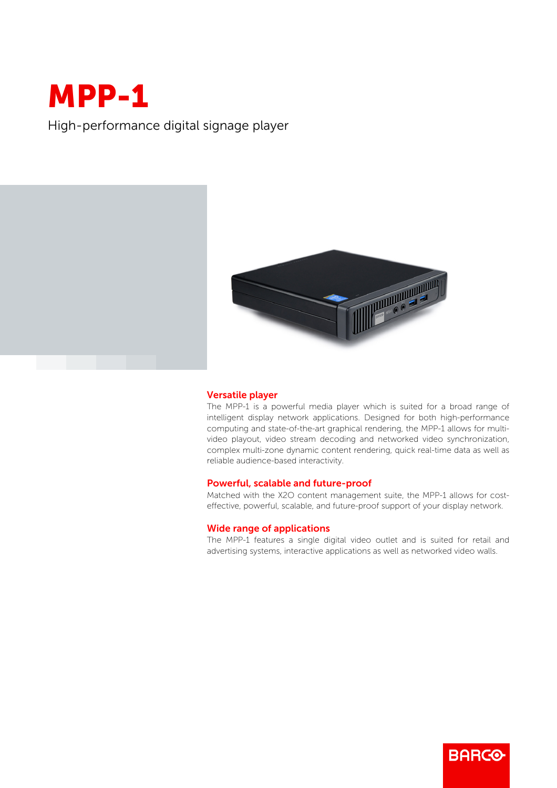# MPP-1

High-performance digital signage player



## Versatile player

The MPP-1 is a powerful media player which is suited for a broad range of intelligent display network applications. Designed for both high-performance computing and state-of-the-art graphical rendering, the MPP-1 allows for multivideo playout, video stream decoding and networked video synchronization, complex multi-zone dynamic content rendering, quick real-time data as well as reliable audience-based interactivity.

#### Powerful, scalable and future-proof

Matched with the X2O content management suite, the MPP-1 allows for costeffective, powerful, scalable, and future-proof support of your display network.

# Wide range of applications

The MPP-1 features a single digital video outlet and is suited for retail and advertising systems, interactive applications as well as networked video walls.